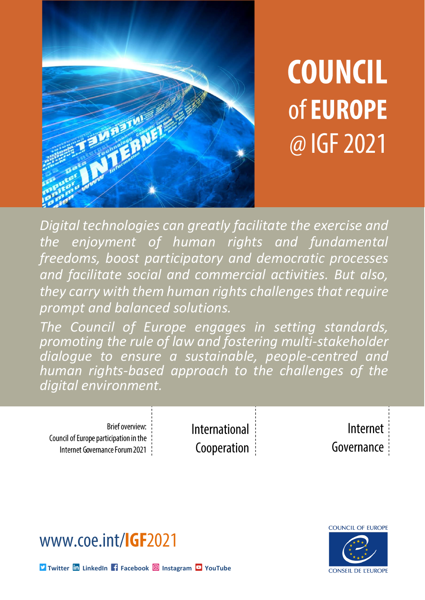

# **COUNCIL** of **EUROPE** @ IGF 2021

*Digital technologies can greatly facilitate the exercise and the enjoyment of human rights and fundamental freedoms, boost participatory and democratic processes and facilitate social and commercial activities. But also, they carry with them human rights challenges that require prompt and balanced solutions.* 

*The Council of Europe engages in setting standards, promoting the rule of law and fostering multi-stakeholder dialogue to ensure a sustainable, people-centred and human rights-based approach to the challenges of the digital environment.* 

Brief overview: Council of Europe participation in the Internet Governance Forum 2021 International Cooperation

Internet Governance





**M** [Twitter](http://twitter.com/COE_HRightsRLaw) **In** [LinkedIn](https://www.linkedin.com/company/directorate-general-human-rights-and-rule-of-law---council-of-europe) **F** [Facebook](https://www.facebook.com/CoEHumanRightsRuleLaw) **O** [Instagram](https://www.instagram.com/coe_humanrights.rulelaw/) **P** [YouTube](https://www.youtube.com/channel/UCevvbFQ6CRdw25FwQ3fwngQ)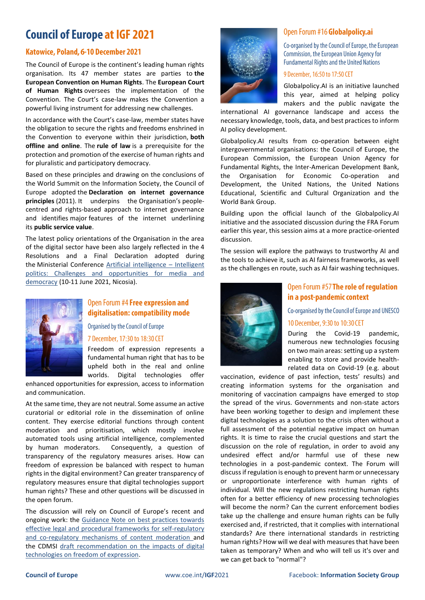## **Council of Europe at IGF 2021**

#### Katowice, Poland, 6-10 December 2021

The Council of Europe is the continent's leading human rights organisation. Its 47 member states are parties to **the European Convention on Human Rights**. The **European Court of Human Rights** oversees the implementation of the Convention. The Court's case-law makes the Convention a powerful living instrument for addressing new challenges.

In accordance with the Court's case-law, member states have the obligation to secure the rights and freedoms enshrined in the Convention to everyone within their jurisdiction, **both offline and online**. The **rule of law** is a prerequisite for the protection and promotion of the exercise of human rights and for pluralistic and participatory democracy.

Based on these principles and drawing on the conclusions of the World Summit on the Information Society, the Council of Europe adopted the **Declaration on internet governance principles** (2011). It underpins the Organisation's peoplecentred and rights-based approach to internet governance and identifies major features of the internet underlining its **public service value**.

The latest policy orientations of the Organisation in the area of the digital sector have been also largely reflected in the 4 Resolutions and a Final Declaration adopted during the Ministerial Conference [Artificial intelligence](https://www.coe.int/en/web/freedom-expression/media2021nicosia) – Intelligent [politics: Challenges and opportunities for media and](https://www.coe.int/en/web/freedom-expression/media2021nicosia)  [democracy](https://www.coe.int/en/web/freedom-expression/media2021nicosia) (10-11 June 2021, Nicosia).



#### Open Forum #4 Free expression and digitalisation: compatibility mode

Organised by the Council of Europe

#### 7 December, 17:30 to 18:30 CET

Freedom of expression represents a fundamental human right that has to be upheld both in the real and online worlds. Digital technologies offer

enhanced opportunities for expression, access to information and communication.

At the same time, they are not neutral. Some assume an active curatorial or editorial role in the dissemination of online content. They exercise editorial functions through content moderation and prioritisation, which mostly involve automated tools using artificial intelligence, complemented by human moderators. Consequently, a question of transparency of the regulatory measures arises. How can freedom of expression be balanced with respect to human rights in the digital environment? Can greater transparency of regulatory measures ensure that digital technologies support human rights? These and other questions will be discussed in the open forum.

The discussion will rely on Council of Europe's recent and ongoing work: the [Guidance Note on best practices towards](https://rm.coe.int/content-moderation-en/1680a2cc18)  [effective legal and procedural frameworks for self-regulatory](https://rm.coe.int/content-moderation-en/1680a2cc18)  [and co-regulatory mechanisms of content moderation](https://rm.coe.int/content-moderation-en/1680a2cc18) and the CDMSI [draft recommendation on](https://rm.coe.int/msi-dig-2020-05-draft-recommendation-on-the-impact-of-digital-technolo/1680a43c8e) the impacts of digital [technologies on freedom of expression.](https://rm.coe.int/msi-dig-2020-05-draft-recommendation-on-the-impact-of-digital-technolo/1680a43c8e)



#### Open Forum #16 Globalpolicy.ai

Co-organised by the Council of Europe, the European Commission, the European Union Agency for **Fundamental Rights and the United Nations** 

#### 9 December, 16:50 to 17:50 CET

Globalpolicy.AI is an initiative launched this year, aimed at helping policy makers and the public navigate the

international AI governance landscape and access the necessary knowledge, tools, data, and best practices to inform AI policy development.

Globalpolicy.AI results from co-operation between eight intergovernmental organisations: the Council of Europe, the European Commission, the European Union Agency for Fundamental Rights, the Inter-American Development Bank, the Organisation for Economic Co-operation and Development, the United Nations, the United Nations Educational, Scientific and Cultural Organization and the World Bank Group.

Building upon the official launch of the Globalpolicy.AI initiative and the associated discussion during the FRA Forum earlier this year, this session aims at a more practice-oriented discussion.

The session will explore the pathways to trustworthy AI and the tools to achieve it, such as AI fairness frameworks, as well as the challenges en route, such as AI fair washing techniques.



#### Open Forum #57 The role of regulation in a post-pandemic context

Co-organised by the Council of Europe and UNESCO 10 December, 9:30 to 10:30 CET

During the Covid-19 pandemic, numerous new technologies focusing on two main areas: setting up a system enabling to store and provide healthrelated data on Covid-19 (e.g. about

vaccination, evidence of past infection, tests' results) and creating information systems for the organisation and monitoring of vaccination campaigns have emerged to stop the spread of the virus. Governments and non-state actors have been working together to design and implement these digital technologies as a solution to the crisis often without a full assessment of the potential negative impact on human rights. It is time to raise the crucial questions and start the discussion on the role of regulation, in order to avoid any undesired effect and/or harmful use of these new technologies in a post-pandemic context. The Forum will discuss if regulation is enough to prevent harm or unnecessary or unproportionate interference with human rights of individual. Will the new regulations restricting human rights often for a better efficiency of new processing technologies will become the norm? Can the current enforcement bodies take up the challenge and ensure human rights can be fully exercised and, if restricted, that it complies with international standards? Are there international standards in restricting human rights? How will we deal with measures that have been taken as temporary? When and who will tell us it's over and we can get back to "normal"?